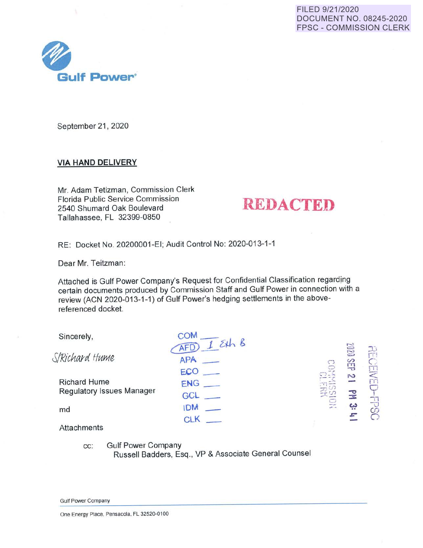FILED 9/21/2020 DOCUMENT NO. 08245-2020 FPSC - COMMISSION CLERK



September 21, 2020

# **VIA HAND DELIVERY**

Mr. Adam Tetizman, Commission Clerk Florida Public Service Commission 2540 Shumard Oak Boulevard Tallahassee, FL 32399-0850

# **REDACTED**

RE: Docket No. 20200001-EI; Audit Control No: 2020-013-1-1

Dear Mr. Teitzman:

Attached is Gulf Power Company's Request for Confidential Classification regardjng certain documents produced by Commission Staff and Gulf Power in connection with a review (ACN 2020-013-1-1) of Gulf Power's hedging settlements in the abovereferenced docket.

| Sincerely,                       | 154h8      |                |                   |                      |
|----------------------------------|------------|----------------|-------------------|----------------------|
| S/Richard Hume                   | <b>APA</b> | CO             | <b>MN</b><br>SEIP | 큐                    |
|                                  | ECO        |                | N                 | <b>NEI</b>           |
| <b>Richard Hume</b>              | ENG        |                |                   | Гñ                   |
| <b>Regulatory Issues Manager</b> | GCL        |                |                   |                      |
| md                               | <b>IDM</b> | $\mathbb{R}^n$ | يب                | $\frac{1}{\sqrt{2}}$ |
| <b>Attachments</b>               | CLK        |                |                   |                      |

cc: Gulf Power Company Russell Badders, Esq., VP & Associate General Counsel

Gulf Power Company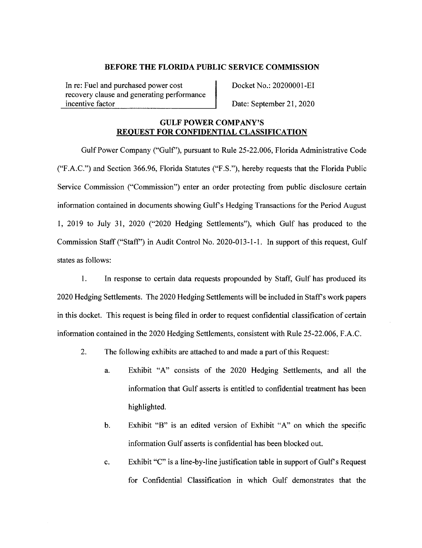In re: Fuel and purchased power cost recovery clause and generating performance incentive factor

Docket No.: 20200001-EI

Date: September 21, 2020

### **GULF POWER COMPANY'S REQUEST FOR CONFIDENTIAL CLASSIFICATION**

Gulf Power Company ("Gulf'), pursuant to Rule 25-22.006, Florida Administrative Code ("F.A.C.") and Section 366.96, Florida Statutes ("F.S."), hereby requests that the Florida Public Service Commission ("Commission") enter an order protecting from public disclosure certain information contained in documents showing Gulf's Hedging Transactions for the Period August 1, 2019 to July 31, 2020 ("2020 Hedging Settlements"), which Gulf has produced to the Commission Staff ("Staff') in Audit Control No. 2020-013-1-1. In support of this request, Gulf states as follows:

1. In response to certain data requests propounded by Staff, Gulf has produced its 2020 Hedging Settlements. The 2020 Hedging Settlements will be included in Staffs work papers in this docket. This request is being filed in order to request confidential classification of certain information contained in the 2020 Hedging Settlements, consistent with Rule 25-22.006, F.A.C.

- 2. The following exhibits are attached to and made a part of this Request:
	- a. Exhibit "A" consists of the 2020 Hedging Settlements, and all the information that Gulf asserts is entitled to confidential treatment has been highlighted.
	- b. Exhibit "B" is an edited version of Exhibit "A" on which the specific information Gulf asserts is confidential has been blocked out.
	- c. Exhibit "C" is a line-by-line justification table in support of Gulf's Request for Confidential Classification in which Gulf demonstrates that the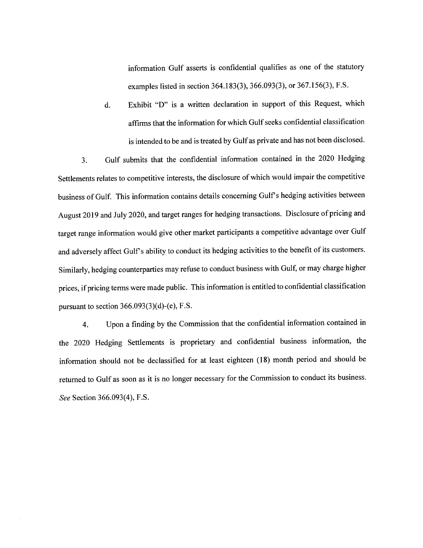information Gulf asserts is confidential qualifies as one of the statutory examples listed in section 364.183(3), 366.093(3), or 367.156(3), F.S.

d. Exhibit "D" is a written declaration in support of this Request, which affirms that the information for which Gulf seeks confidential classification is intended to be and is treated by Gulf as private and has not been disclosed.

3. Gulf submits that the confidential information contained in the 2020 Hedging Settlements relates to competitive interests, the disclosure of which would impair the competitive business of Gulf. This information contains details concerning Gulf's hedging activities between August 2019 and July 2020, and target ranges for hedging transactions. Disclosure of pricing and target range information would give other market participants a competitive advantage over Gulf and adversely affect Gulf's ability to conduct its hedging activities to the benefit of its customers. Similarly, hedging counterparties may refuse to conduct business with Gulf, or may charge higher prices, if pricing terms were made public. This information is entitled to confidential classification pursuant to section  $366.093(3)(d)$ -(e), F.S.

4. Upon a finding by the Commission that the confidential information contained in the 2020 Hedging Settlements is proprietary and confidential business information, the information should not be declassified for at least eighteen (18) month period and should be returned to Gulf as soon as it is no longer necessary for the Commission to conduct its business. *See* Section 366.093(4), F.S.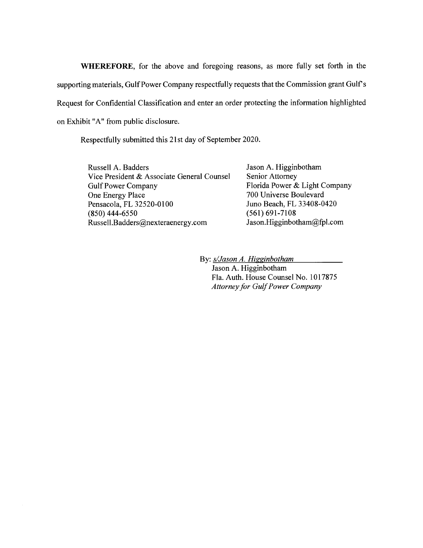**WHEREFORE,** for the above and foregoing reasons, as more fully set forth in the supporting materials, Gulf Power Company respectfully requests that the Commission grant Gulf's Request for Confidential Classification and enter an order protecting the information highlighted on Exhibit "A" from public disclosure.

Respectfully submitted this 21st day of September 2020.

Russell A. Badders Vice President & Associate General Counsel Gulf Power Company One Energy Place Pensacola, FL 32520-0100 (850) 444-6550 Russell.Badders@nexteraenergy.com

Jason A. Higginbotham Senior Attorney Florida Power & Light Company 700 Universe Boulevard Juno Beach, FL 33408-0420 (561) 691-7108 Jason.Higginbotham@fpl.com

By: *s/Jason A. Higginbotham*  Jason A. Higginbotham Fla. Auth. House Counsel No. 1017875 *Attorney for Gulf Power Company*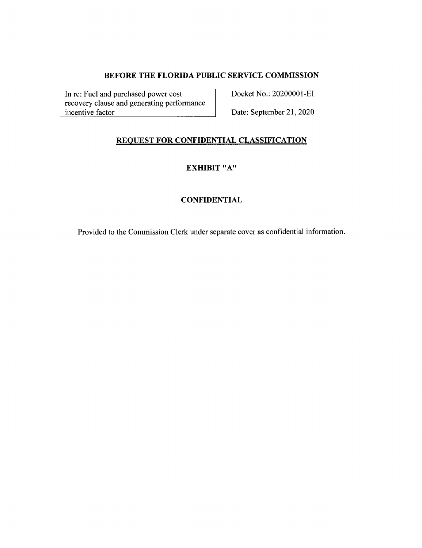In re: Fuel and purchased power cost recovery clause and generating performance incentive factor

Docket No.: 20200001-EI

Date: September 21, 2020

J.

# **REQUEST FOR CONFIDENTIAL CLASSIFICATION**

**EXHIBIT "A"** 

### **CONFIDENTIAL**

Provided to the Commission Clerk under separate cover as confidential information.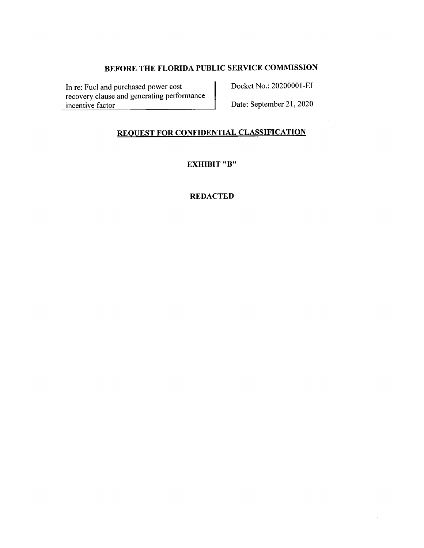In re: Fuel and purchased power cost recovery clause and generating performance incentive factor

 $\tau$ 

Docket No.: 20200001-EI

Date: September 21, 2020

# **REQUEST FOR CONFIDENTIAL CLASSIFICATION**

**EXHIBIT "B"** 

### **REDACTED**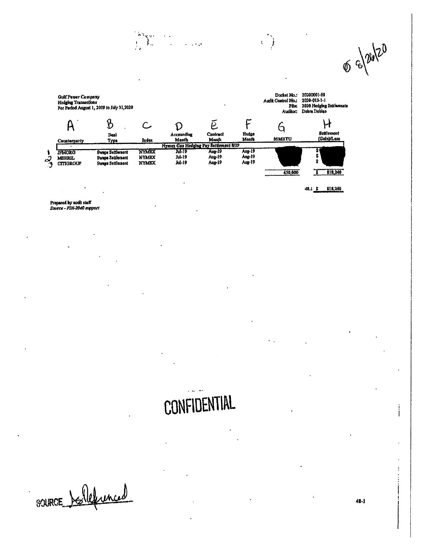$\phi = \sqrt{2420}$ Docket No.: 20200001-RI **Gulf Power Company** Audit Control No.: 2020-013-1-1 Hedging Transactions File: 2020 Hedging Settlements<br>Auditor: Debra Doblao For Period August 1, 2019 to July 31,2020 F  $\mathsf{A}$  $\mathcal{B}$  $\tilde{e}$ H  $\overline{C}$  $\mathcal{D}$  $\mathsf{G}$ Hedge<br>Month Settlement Contract Accounting Dent Month **MMBTU** (Gain)/Loss Month Index Counterparty **Type** Nymex Gas Hedging Pay Settlement 8/19 Aug-19<br>Ang-19<br>Aug-19 Swaps Seltionsent nymix **JPMORG**  $Ju-19$ Aug-19 Ś رنه<br>د MERRIL Swape Settlement **NYMEX** Jul-19 Aug-19 **CITIGROUP** Swags Settlement **NYMBX** Jul-19 Aug-19 450,000  $5 - 818,240$ 

 $\sim 10^{11}$ 

 $\mathbf{L}^{(1)}$ Ì

 $\int_{0}^{\infty} \int_{-\infty}^{\infty} \frac{dx}{x^2} dx$ 

 $48.1 \t{5} \t818,240$ 

Propared by audit staff<br>Source - FIN-2040 support

# CONFIDENTIAL

SOURCE Delleunced

j ł

 $\ddot{\cdot}$ 

j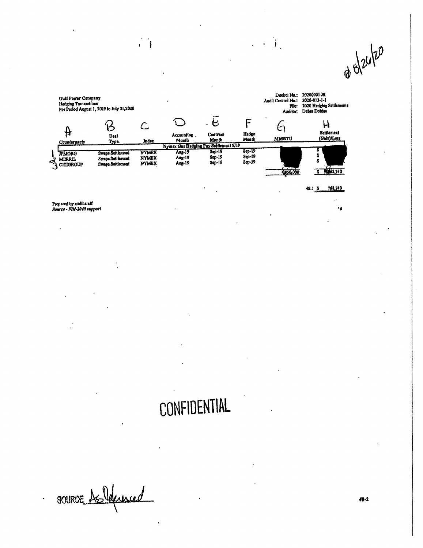s 8/26/20

|   | <b>Gulf Power Company</b><br>Hedging Transactions  | For Period August 1, 2019 to July 31,2020                       |                                              |                                       |                                       |                  | Dookel Na.:<br>Audit Control No.:<br>File:<br>Auditor: | 20200001-EI<br>2020-013-1-1<br>2020 Hedging Soltiements<br>Debre Dobiao |
|---|----------------------------------------------------|-----------------------------------------------------------------|----------------------------------------------|---------------------------------------|---------------------------------------|------------------|--------------------------------------------------------|-------------------------------------------------------------------------|
|   | 甘<br>Counterparty                                  | Deal<br>Type.                                                   | Index                                        | Accounting<br>Month                   | $\bullet$<br><b>Contract</b><br>Month | Hedgo<br>Mosth   | <b>MMBTU</b>                                           | Settlement<br>(Gain)/Loss                                               |
|   |                                                    |                                                                 |                                              | Nymex Gas Hedging Pay Sattlement 9/19 |                                       | $8ep-19$         |                                                        |                                                                         |
| ø | <b>TPMORG</b><br><b>MERRIL</b><br><b>CITIGROUP</b> | <b>Swaps Settlemont</b><br>Swapa Settlemont<br>Swaps Settlement | <b>NYMEX</b><br><b>NYMEX</b><br><b>NYMBX</b> | Aug-19<br>Aug-19<br>Aug-19            | $8ep-19$<br>Sep-19<br>$Sop-19$        | Sep-19<br>Sap-19 | \$450,000                                              | 1268,740                                                                |

 $\begin{pmatrix} 1 & 1 \\ 0 & 1 \end{pmatrix} \begin{pmatrix} 1 \\ 1 \end{pmatrix}$ 

 $\begin{smallmatrix} \cdot & \cdot \\ 1 & 1 \end{smallmatrix}$ 

768,740  $48.13$ 

k,

 $\hat{\mathbf{v}}$ 

Propared by audit staff<br>Source - FIN-2040 support

# CONFIDENTIAL

source Asleunced

 $\ddot{\phantom{0}}$ 

48-2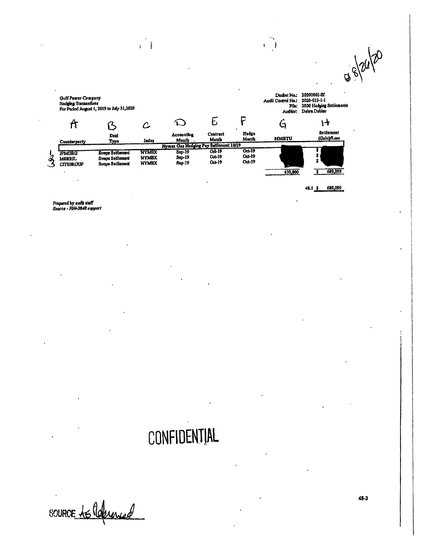$88/24/20$ 

|               | <b>Gulf Power Company</b><br><b>Hedging Transactions</b> | For Period August 1, 2019 to July 31,2020                              |                                       |                                        |                                         |                            | Dockel No.:<br>Audit Control No.:<br><b>File:</b><br>Auditor: | $\bullet$<br>20200001-RI<br>2020-013-1-1<br>2020 Hedging Settiements<br>Dobra Doblao |
|---------------|----------------------------------------------------------|------------------------------------------------------------------------|---------------------------------------|----------------------------------------|-----------------------------------------|----------------------------|---------------------------------------------------------------|--------------------------------------------------------------------------------------|
|               | A                                                        |                                                                        |                                       |                                        |                                         |                            | C                                                             | ŀ۰                                                                                   |
|               | Counterparty                                             | Deal<br>Type                                                           | Index                                 | Accounting<br>Meath                    | Centract<br>Manth                       | Hedge<br>Month             | <b>MMBTU</b>                                                  | <b>Settlement</b><br>(Galo)/Loss                                                     |
|               |                                                          |                                                                        |                                       | Nymex Gas Hedging Pay Settlement 10/19 |                                         |                            |                                                               |                                                                                      |
| $\mathcal{Z}$ | <b>JPMORG</b><br><b>MERRIL</b><br><b>CITIOROUP</b>       | <b>Sysps Settlement</b><br>Swaps Settlement<br><b>Swaps Settlement</b> | <b>NYMBX</b><br>NYMBX<br><b>NYMEX</b> | $Sep-19$<br>$Sop-19$<br>8ep-19         | <b>Od</b> 19<br><b>Oct-19</b><br>Oct-19 | Ool-19<br>Oct-19<br>Oct-19 | 450,000                                                       | 689,090                                                                              |

 $\begin{array}{c} \downarrow \\ \downarrow \end{array}$ 

689,090  $48.1 \frac{5}{2}$ 

 $\frac{1}{2}$ 

 $\begin{pmatrix} 1 & 0 \\ 0 & 1 \end{pmatrix}$ 

Propared by audit staff<br>Source - FIN-2040 support

# CONFIDENTIAL

source to Reference

 $48 - 3$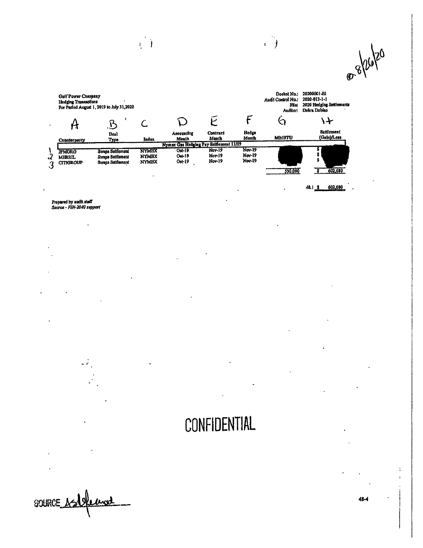@ 8/26/20 Dookol No.: 20200001-BI<br>Audil Control No.: 2020-013-1-1 Gulf Power Company<br>Hedging Trassactions<br>For Penod August 1, 2019 to July 31,2020 File: 2020 Hedging Settlements<br>Auditor: Debra Dobiao  $\overline{E}$  $\mathcal{F}_{\mathcal{C}}$  $\zeta$  $\mathcal{A}$ D  $\overline{C}$  $\mathsf{A}$  $\mathbf{B}$  $\ddot{\phantom{0}}$ **Hedge**<br>Month Settlement Contract Deal Accounting **MMBTU** (Gain)/Loss Month Month Index Counterparty Type Nymex Gas Hedging Pay Seitlement 11/19  $\overline{\text{Now-19}}$  $\frac{1}{3}$ Oot-19 **الله خانه**<br>کا **TPMORG** Swaps Settlemont **NYMBX Nov-19** NIM<sub>SA</sub><br>NYMBX<br>NYMBX Nov-19<br>Nov-19 Swaps Settlement  $00 - 19$ **Nov-19 MERRIL**  $O_0 + 19$ **Nov-19 CITIGROUP**  $\ddot{\phantom{a}}$ <u>য</u> 602,680 \$30,000  $\cdot$ 

 $\vec{1}$ 

 $48.13$ 602,680

 $\cdot$ 

 $\frac{1}{2}$  $\mathbf{L}$ 

 $\ddot{\phantom{a}}$ 

Propared by audit staff<br>Source - FIN-2040 support

# CONFIDENTIAL

SOURCE AS!

48-4

 $\ddot{\cdot}$  $\overline{1}$  $\overline{a}$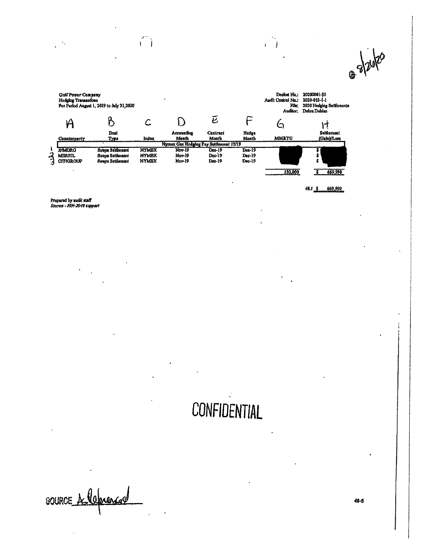@ s/20/20

|   | <b>Gulf Power Company</b><br>Hedging Transactions  | For Period August 1, 2019 to July 31,2020                       |                                              |                                        |                              |                                     | Dosket No.:<br>Audit Control No.:<br>File:<br>Auditor: | 20200001-E1<br>2020-013-1-1<br>2020 Hedging Sottlements<br>Debra Doblac |
|---|----------------------------------------------------|-----------------------------------------------------------------|----------------------------------------------|----------------------------------------|------------------------------|-------------------------------------|--------------------------------------------------------|-------------------------------------------------------------------------|
|   | H                                                  |                                                                 |                                              |                                        | ē                            |                                     |                                                        |                                                                         |
|   | Counterparty                                       | Deal<br>Туре                                                    | Index                                        | Accounting<br>Month                    | Contract<br>Month            | Hedga<br>Month                      | <b>MMBTU</b>                                           | <b>Ssifiement</b><br>(Gain)/Loss                                        |
|   |                                                    |                                                                 |                                              | Nymex Gas Hedging Pay Settlement 12/19 |                              |                                     |                                                        |                                                                         |
| Э | <b>JPMORG</b><br><b>MERRIL</b><br><b>CITIGROUP</b> | <b>Swape Settlement</b><br>Swaps Settlement<br>Sweps Settlemont | <b>NYMEX</b><br><b>NYMBX</b><br><b>NYMEX</b> | Nov-19<br><b>Nov-19</b><br>Nov-19      | $Dec-19$<br>Dec-19<br>Dec-19 | Dec-19<br>$Dec-19$<br>$D_{00} - 19$ | 530,000                                                | 669,990                                                                 |

 $\langle \rangle$  (  $\langle \rangle$ 

 $-48.1$  \$ 669,990

 $\epsilon$  .

 $\mathbf{t} = \mathbf{j}$ 

Propared by audit staff<br>Source - FIN-2040 support

 $\frac{1}{2}$  ,  $\frac{1}{2}$ 

# CONFIDENTIAL

SOURCE A leprence

 $48 - 5$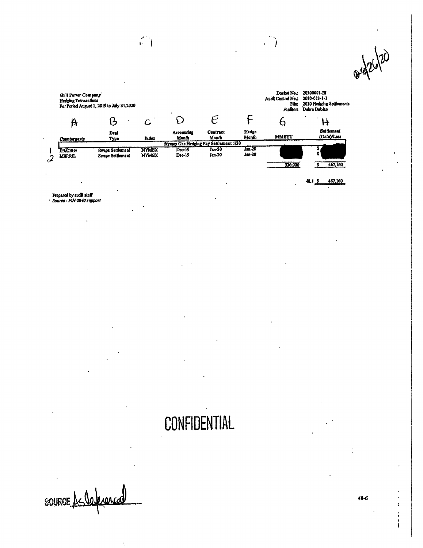0-426/20 Docket No.: 20200001-EI<br>Audit Control No.: 2020-013-1-1 **Galf Power Company** Hedging Transactions<br>For Period August 1, 2019 to July 31,2020 Pile: 2020 Hedging Sottlements<br>Auditor: Debra Doblao  $\tilde{\epsilon}$ F  $\mathsf{O}$  $\mathcal{B}$  $\overline{6}$  $\mathbf{\hat{A}}$  $\overline{C}$  $H$ Settlemen(<br>(Galu)/Less Accounting Hedge Centract Deal **MMBTU** Manth Month Month Counterparty Type Index Nymex Gas Hedging Pay Settlement 1/20  $\frac{10000}{\text{J}\text{am} \cdot 20}$ <br> $\frac{10000}{\text{J}\text{am} \cdot 20}$ Jan-20<br>Jan-20 Swaps Soltlement **NYMEX TPMORG** Dec-19 š MERRIL Swaps Settlement **NYMBX** Dec-19  $\overline{\mathcal{L}}$ 330,000 3 467,160  $48.1 \frac{s}{100}$   $467,160$  $\ddot{\phantom{a}}$ 

 $\mathbb{Z}^2$ 

 $\mathbb{Z}^2$ 

Prepared by audit staff<br>Dource - FIN-2040 support

**CONFIDENTIAL** 

SOURCE La Velexiona

48-6

 $\ddot{\phantom{0}}$  $\mathbf{r}$  $\ddot{i}$ i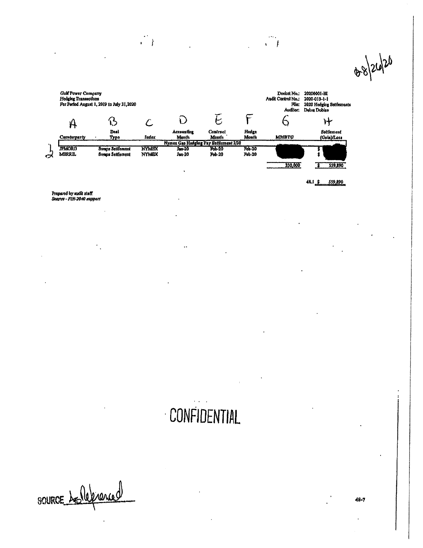88/26/20



 $\ddot{\phantom{a}}$ 

 $\frac{1}{\sqrt{2}}$ 

48.1 \$ 559,890

 $\sim$  .  $\sqrt{ }$ 

Propared by audit staff<br>Source – FIN-2040 support

 $\overline{\phantom{a}}$ 

# CONFIDENTIAL

 $\mathbf{r}$ 

SOURCE A Mericiance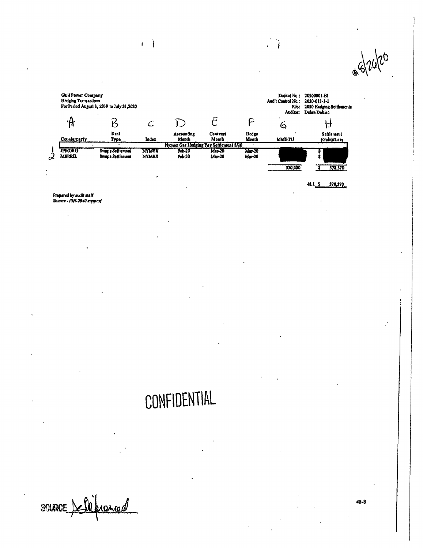

 $\mathbf{I}$ j

> $48.15$ 578,370

 $\begin{array}{c} \begin{array}{c} \begin{array}{c} \begin{array}{c} \end{array}\\ \begin{array}{c} \end{array} \end{array} \end{array} \end{array}$ 

 $\mathbf{r}$ 

Propared by audit staff.<br>Source - FIN-2040 support

# CONFIDENTIAL

source <u>bellefranced</u>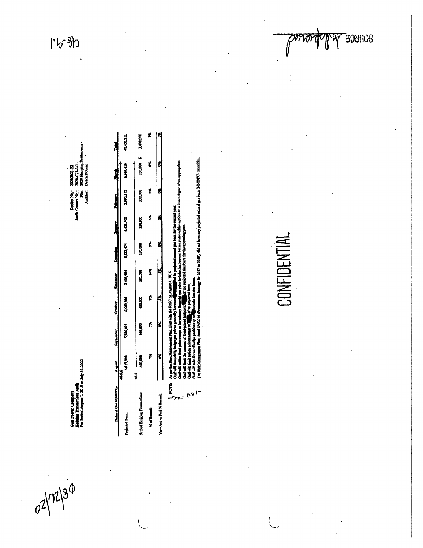$1590$ 

Golf Power Company<br>Hodging Transactions Audit<br>For Puriod August 1, 2019 to

02/72/30

**COCTLE AIRE CAL** 

20000001-EI **Duine Do** Doctor No.: 2<br>Audin Commel No.: 7<br>Fine Auditor:

| Natural Cast MOMETTUs Awgust  |                    | September October November Deemder Jamary Robratty |         |        |                                     |               |         | March | Total                 |
|-------------------------------|--------------------|----------------------------------------------------|---------|--------|-------------------------------------|---------------|---------|-------|-----------------------|
| Projected Bank                | 4,817,398<br>- 161 | 6,726,091                                          |         |        | 1969/10 1979 1979 1979 1979 1989/16 |               |         |       | 48,407,811            |
| Settled Historic Transcriptus | 450,000<br>ĵ       | 450,00                                             | 450,000 | SA,000 | 530,000                             | <b>BA,000</b> | 330,000 |       | 730,000 \$ 73.000,000 |
| % of Dannet                   |                    | ř                                                  |         | Š      | ť                                   | K,            | É       | ī.    | K                     |
| This is the most of the most  |                    |                                                    |         | ť      |                                     |               |         |       |                       |

**B**<br>Dear as

ð Ì

J

星道

them (OTED/MOST) quantities The Root

# **CONFIDENTIAL**

**EQNICE**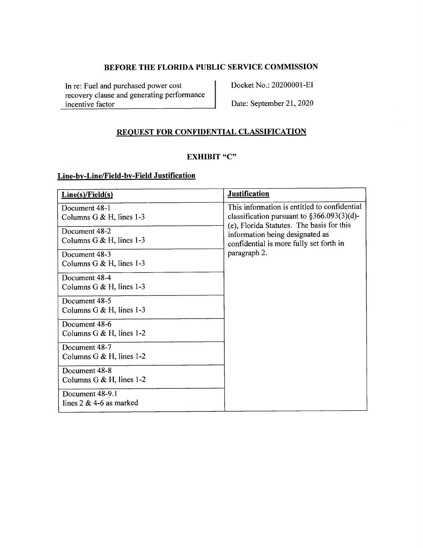In re: Fuel and purchased power cost recovery clause and generating performance incentive factor

Docket No.: 20200001-EI

Date: September 21, 2020

# **REQUEST FOR CONFIDENTIAL CLASSIFICATION**

# **EXHIBIT "C"**

# **Line-by-Line/Field-by-Field Justification**

| Line(s)/Field(s)            | <b>Justification</b>                                                                         |
|-----------------------------|----------------------------------------------------------------------------------------------|
| Document 48-1               | This information is entitled to confidential                                                 |
| Columns G $&$ H, lines 1-3  | classification pursuant to $\S 366.093(3)(d)$ -<br>(e), Florida Statutes. The basis for this |
| Document 48-2               | information being designated as                                                              |
| Columns $G & H$ , lines 1-3 | confidential is more fully set forth in                                                      |
| Document 48-3               | paragraph 2.                                                                                 |
| Columns G $&H$ , lines 1-3  |                                                                                              |
| Document 48-4               |                                                                                              |
| Columns G $&H$ , lines 1-3  |                                                                                              |
| Document 48-5               |                                                                                              |
| Columns $G & H$ , lines 1-3 |                                                                                              |
| Document 48-6               |                                                                                              |
| Columns G & H, lines $1-2$  |                                                                                              |
| Document 48-7               |                                                                                              |
| Columns G $&$ H, lines 1-2  |                                                                                              |
| Document 48-8               |                                                                                              |
| Columns G & H, lines $1-2$  |                                                                                              |
| Document 48-9.1             |                                                                                              |
| lines $2 \& 4-6$ as marked  |                                                                                              |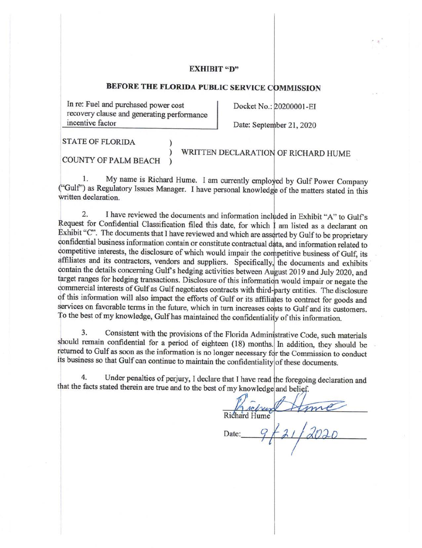### **EXHIBIT "D"**

# **BEFORE THE FLORIDA PUBLIC SERVICE COMMISSION**

In re: Fuel and purchased power cost recovery clause and generating performance incentive factor

Docket No.: 20200001-EI

Date: September 21, 2020

STATE OF FLORIDA )

COUNTY OF PALM BEACH )

) WRITTEN DECLARATION OF RICHARD HUME

1. My name is Richard Hume. I am currently employed by Gulf Power Company ("Gulf") as Regulatory Issues Manager. I have personal knowledge of the matters stated in this written declaration.

2. I have reviewed the documents and information included in Exhibit "A" to Gulf's Request for Confidential Classification filed this date, for which  $\frac{1}{1}$  am listed as a declarant on Exhibit "C". The documents that I have reviewed and which are asserted by Gulf to be proprietary confidential business information contain or constitute contractual data, and information related to competitive interests, the disclosure of which would impair the competitive business of Gulf, its affiliates and its contractors, vendors and suppliers. Specifically, the documents and exhibits contain the details concerning Gulf's hedging activities between August 2019 and July 2020, and target ranges for hedging transactions. Disclosure of this information would impair or negate the commercial interests of Gulf as Gulf negotiates contracts with third-party entities. The disclosure of this information will also impact the efforts of Gulf or its affiliates to contract for goods and services on favorable terms in the future, which in turn increases costs to Gulf and its customers. To the best of my knowledge, Gulf has maintained the confidentiality of this information.

3. Consistent with the provisions of the Florida Administrative Code, such materials should remain confidential for a period of eighteen (18) months. In addition, they should be returned to Gulf as soon as the information is no longer necessary for the Commission to conduct its business so that Gulf can continue to maintain the confidentiality of these documents.

4. Under penalties of perjury, I declare that I have read the foregoing declaration and that the facts stated therein are true and to the best of my knowledge and belief.

I  $H_{\rm nuc}$ refrind Richard Hume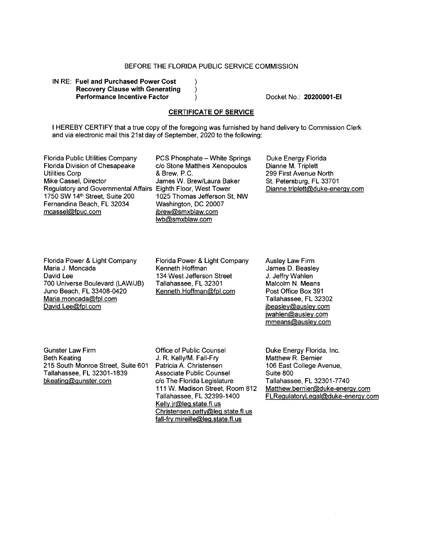IN RE: **Fuel and Purchased Power Cost Recovery Clause with Generating Performance Incentive Factor** 

Docket No.: **20200001-EI** 

### **CERTIFICATE OF SERVICE**

 $\lambda$  $\lambda$ 

I HEREBY CERTIFY that a true copy of the foregoing was furnished by hand delivery to Commission Clerk and via electronic mail this 21st day of September, 2020 to the following:

Florida Public Utilities Company PCS Phosphate - White Springs<br>Florida Division of Chesapeake c/o Stone Mattheis Xenopoulos **Utilities Corp.** Mike Cassel, Director **James W. Brew/Laura Baker** Regulatory and Governmental Affairs Eighth Floor, West Tower<br>1750 SW 14<sup>th</sup> Street, Suite 200 1025 Thomas Jefferson S Fernandina Beach, FL 32034<br>mcassel@fpuc.com

c/o Stone Mattheis Xenopoulos<br>& Brew. P.C. 1025 Thomas Jefferson St, NW Washington, DC 20007 jbrew@smxblaw.com lwb@smxblaw.com

Duke Energy Florida Dianne M. Triplett 299 First Avenue North St. Petersburg, FL 33701 Dianne.triplett@duke-energy.com

Florida Power & Light Company Maria J. Moncada David Lee 700 Universe Boulevard (LAW/JB) Juno Beach, FL 33408-0420 Maria.moncada@fpl.com David.Lee@fpl.com

Florida Power & Light Company Kenneth Hoffman 134 West Jefferson Street Tallahassee, FL 32301 Kenneth.Hoffman@fpl.com

Ausley Law Firm James D. Beasley J. Jeffry Wahlen Malcolm N. Means Post Office Box 391 Tallahassee, FL 32302 jbeasley@ausley.com jwahlen@ausley.com mmeans@ausley.com

Gunster Law Firm Beth Keating 215 South Monroe Street, Suite 601 Tallahassee, FL 32301-1839 bkeatinq@gunster.com

Office of Public Counsel J. **R. Kelly/M.** Fall-Fry Patricia A. Christensen Associate Public Counsel c/o The Florida Legislature 111 W. Madison Street, Room 812 Tallahassee, FL 32399-1400 Kelly.jr@leg.state.fl.us Christensen.patty@leq.state.fl.us fall-fry.mireille@leg.state.fl.us

Duke Energy Florida, Inc. Matthew R. Bernier 106 East College Avenue, Suite 800 Tallahassee, FL 32301-7740 Matthew.bernier@duke-enerqy.com FLRegulatoryLegal@duke-enerqy.com